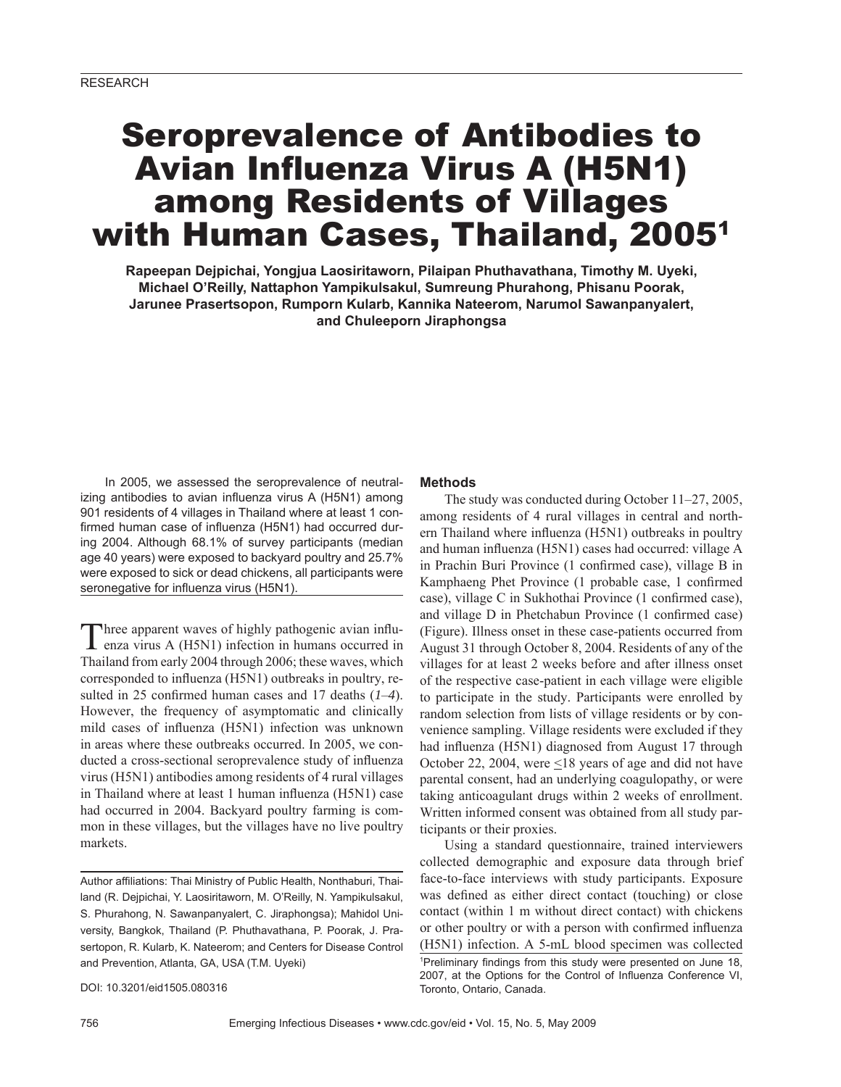# Seroprevalence of Antibodies to Avian Influenza Virus A (H5N1) among Residents of Villages with Human Cases, Thailand, 2005<sup>1</sup>

**Rapeepan Dejpichai, Yongjua Laosiritaworn, Pilaipan Phuthavathana, Timothy M. Uyeki, Michael O'Reilly, Nattaphon Yampikulsakul, Sumreung Phurahong, Phisanu Poorak, Jarunee Prasertsopon, Rumporn Kularb, Kannika Nateerom, Narumol Sawanpanyalert, and Chuleeporn Jiraphongsa**

In 2005, we assessed the seroprevalence of neutralizing antibodies to avian influenza virus A (H5N1) among 901 residents of 4 villages in Thailand where at least 1 confirmed human case of influenza (H5N1) had occurred during 2004. Although 68.1% of survey participants (median age 40 years) were exposed to backyard poultry and 25.7% were exposed to sick or dead chickens, all participants were seronegative for influenza virus (H5N1).

Three apparent waves of highly pathogenic avian influ-<br>enza virus A (H5N1) infection in humans occurred in Thailand from early 2004 through 2006; these waves, which corresponded to influenza (H5N1) outbreaks in poultry, resulted in 25 confirmed human cases and 17 deaths  $(1-4)$ . However, the frequency of asymptomatic and clinically mild cases of influenza (H5N1) infection was unknown in areas where these outbreaks occurred. In 2005, we conducted a cross-sectional seroprevalence study of influenza virus (H5N1) antibodies among residents of 4 rural villages in Thailand where at least 1 human influenza (H5N1) case had occurred in 2004. Backyard poultry farming is common in these villages, but the villages have no live poultry markets.

Author affiliations: Thai Ministry of Public Health, Nonthaburi, Thailand (R. Dejpichai, Y. Laosiritaworn, M. O'Reilly, N. Yampikulsakul, S. Phurahong, N. Sawanpanyalert, C. Jiraphongsa); Mahidol University, Bangkok, Thailand (P. Phuthavathana, P. Poorak, J. Prasertopon, R. Kularb, K. Nateerom; and Centers for Disease Control and Prevention, Atlanta, GA, USA (T.M. Uyeki)

DOI: 10.3201/eid1505.080316

# **Methods**

The study was conducted during October 11–27, 2005, among residents of 4 rural villages in central and northern Thailand where influenza (H5N1) outbreaks in poultry and human influenza (H5N1) cases had occurred: village A in Prachin Buri Province (1 confirmed case), village B in Kamphaeng Phet Province (1 probable case, 1 confirmed case), village C in Sukhothai Province (1 confirmed case), and village D in Phetchabun Province (1 confirmed case) (Figure). Illness onset in these case-patients occurred from August 31 through October 8, 2004. Residents of any of the villages for at least 2 weeks before and after illness onset of the respective case-patient in each village were eligible to participate in the study. Participants were enrolled by random selection from lists of village residents or by convenience sampling. Village residents were excluded if they had influenza (H5N1) diagnosed from August 17 through October 22, 2004, were  $\leq$ 18 years of age and did not have parental consent, had an underlying coagulopathy, or were taking anticoagulant drugs within 2 weeks of enrollment. Written informed consent was obtained from all study participants or their proxies.

Using a standard questionnaire, trained interviewers collected demographic and exposure data through brief face-to-face interviews with study participants. Exposure was defined as either direct contact (touching) or close contact (within 1 m without direct contact) with chickens or other poultry or with a person with confirmed influenza (H5N1) infection. A 5-mL blood specimen was collected <sup>1</sup>Preliminary findings from this study were presented on June 18, 2007, at the Options for the Control of Influenza Conference VI, Toronto, Ontario, Canada.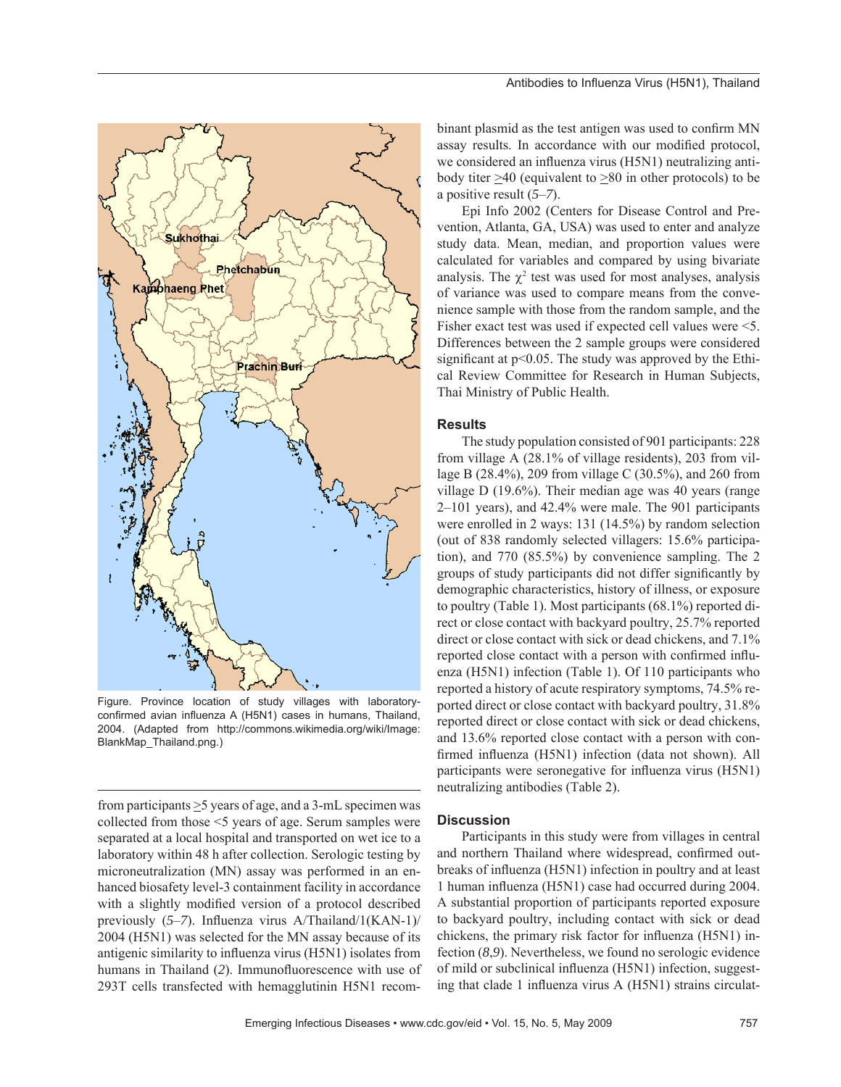

Figure. Province location of study villages with laboratoryconfirmed avian influenza A (H5N1) cases in humans, Thailand, 2004. (Adapted from http://commons.wikimedia.org/wiki/Image: BlankMap\_Thailand.png.)

from participants  $\geq$ 5 years of age, and a 3-mL specimen was collected from those <5 years of age. Serum samples were separated at a local hospital and transported on wet ice to a laboratory within 48 h after collection. Serologic testing by microneutralization (MN) assay was performed in an enhanced biosafety level-3 containment facility in accordance with a slightly modified version of a protocol described previously (5-7). Influenza virus A/Thailand/1(KAN-1)/ 2004 (H5N1) was selected for the MN assay because of its antigenic similarity to influenza virus (H5N1) isolates from humans in Thailand (2). Immunofluorescence with use of 293T cells transfected with hemagglutinin H5N1 recombinant plasmid as the test antigen was used to confirm MN assay results. In accordance with our modified protocol, we considered an influenza virus (H5N1) neutralizing antibody titer >40 (equivalent to >80 in other protocols) to be a positive result (*5*–*7*).

Epi Info 2002 (Centers for Disease Control and Prevention, Atlanta, GA, USA) was used to enter and analyze study data. Mean, median, and proportion values were calculated for variables and compared by using bivariate analysis. The  $\chi^2$  test was used for most analyses, analysis of variance was used to compare means from the convenience sample with those from the random sample, and the Fisher exact test was used if expected cell values were <5. Differences between the 2 sample groups were considered significant at  $p<0.05$ . The study was approved by the Ethical Review Committee for Research in Human Subjects, Thai Ministry of Public Health.

## **Results**

The study population consisted of 901 participants: 228 from village A (28.1% of village residents), 203 from village B (28.4%), 209 from village C (30.5%), and 260 from village D (19.6%). Their median age was 40 years (range 2–101 years), and 42.4% were male. The 901 participants were enrolled in 2 ways: 131 (14.5%) by random selection (out of 838 randomly selected villagers: 15.6% participation), and 770 (85.5%) by convenience sampling. The 2 groups of study participants did not differ significantly by demographic characteristics, history of illness, or exposure to poultry (Table 1). Most participants (68.1%) reported direct or close contact with backyard poultry, 25.7% reported direct or close contact with sick or dead chickens, and  $7.1\%$ reported close contact with a person with confirmed influenza (H5N1) infection (Table 1). Of 110 participants who reported a history of acute respiratory symptoms, 74.5% reported direct or close contact with backyard poultry, 31.8% reported direct or close contact with sick or dead chickens, and 13.6% reported close contact with a person with confirmed influenza (H5N1) infection (data not shown). All participants were seronegative for influenza virus (H5N1) neutralizing antibodies (Table 2).

#### **Discussion**

Participants in this study were from villages in central and northern Thailand where widespread, confirmed outbreaks of influenza (H5N1) infection in poultry and at least 1 human influenza (H5N1) case had occurred during 2004. A substantial proportion of participants reported exposure to backyard poultry, including contact with sick or dead chickens, the primary risk factor for influenza (H5N1) infection (*8*,*9*). Nevertheless, we found no serologic evidence of mild or subclinical influenza (H5N1) infection, suggesting that clade 1 influenza virus  $A$  (H5N1) strains circulat-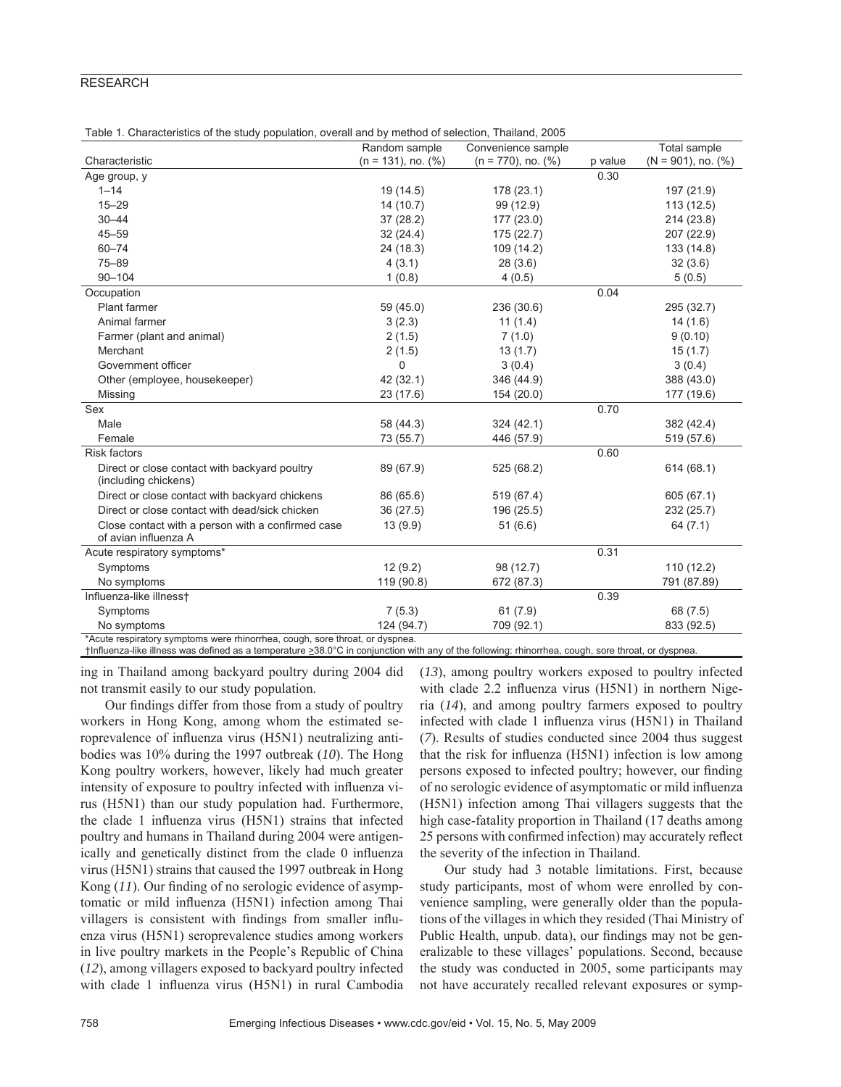## **RESEARCH**

|  | Table 1. Characteristics of the study population, overall and by method of selection, Thailand, 2005 |  |  |  |
|--|------------------------------------------------------------------------------------------------------|--|--|--|
|--|------------------------------------------------------------------------------------------------------|--|--|--|

|                                                                              | Random sample            | Convenience sample       |         | Total sample             |
|------------------------------------------------------------------------------|--------------------------|--------------------------|---------|--------------------------|
| Characteristic                                                               | $(n = 131)$ , no. $(\%)$ | $(n = 770)$ , no. $(\%)$ | p value | $(N = 901)$ , no. $(\%)$ |
| Age group, y                                                                 |                          |                          | 0.30    |                          |
| $1 - 14$                                                                     | 19 (14.5)                | 178 (23.1)               |         | 197 (21.9)               |
| $15 - 29$                                                                    | 14(10.7)                 | 99 (12.9)                |         | 113(12.5)                |
| $30 - 44$                                                                    | 37(28.2)                 | 177 (23.0)               |         | 214 (23.8)               |
| $45 - 59$                                                                    | 32(24.4)                 | 175(22.7)                |         | 207 (22.9)               |
| $60 - 74$                                                                    | 24 (18.3)                | 109 (14.2)               |         | 133 (14.8)               |
| $75 - 89$                                                                    | 4(3.1)                   | 28(3.6)                  |         | 32(3.6)                  |
| $90 - 104$                                                                   | 1(0.8)                   | 4(0.5)                   |         | 5(0.5)                   |
| Occupation                                                                   |                          |                          | 0.04    |                          |
| Plant farmer                                                                 | 59 (45.0)                | 236 (30.6)               |         | 295 (32.7)               |
| Animal farmer                                                                | 3(2.3)                   | 11(1.4)                  |         | 14(1.6)                  |
| Farmer (plant and animal)                                                    | 2(1.5)                   | 7(1.0)                   |         | 9(0.10)                  |
| Merchant                                                                     | 2(1.5)                   | 13(1.7)                  |         | 15(1.7)                  |
| Government officer                                                           | 0                        | 3(0.4)                   |         | 3(0.4)                   |
| Other (employee, housekeeper)                                                | 42 (32.1)                | 346 (44.9)               |         | 388 (43.0)               |
| Missing                                                                      | 23(17.6)                 | 154 (20.0)               |         | 177 (19.6)               |
| Sex                                                                          |                          |                          | 0.70    |                          |
| Male                                                                         | 58 (44.3)                | 324 (42.1)               |         | 382 (42.4)               |
| Female                                                                       | 73 (55.7)                | 446 (57.9)               |         | 519 (57.6)               |
| <b>Risk factors</b>                                                          |                          |                          | 0.60    |                          |
| Direct or close contact with backyard poultry                                | 89 (67.9)                | 525 (68.2)               |         | 614 (68.1)               |
| (including chickens)                                                         |                          |                          |         |                          |
| Direct or close contact with backyard chickens                               | 86 (65.6)                | 519 (67.4)               |         | 605 (67.1)               |
| Direct or close contact with dead/sick chicken                               | 36 (27.5)                | 196 (25.5)               |         | 232 (25.7)               |
| Close contact with a person with a confirmed case                            | 13(9.9)                  | 51(6.6)                  |         | 64 (7.1)                 |
| of avian influenza A                                                         |                          |                          |         |                          |
| Acute respiratory symptoms*                                                  |                          |                          | 0.31    |                          |
| Symptoms                                                                     | 12(9.2)                  | 98 (12.7)                |         | 110 (12.2)               |
| No symptoms                                                                  | 119 (90.8)               | 672 (87.3)               |         | 791 (87.89)              |
| Influenza-like illnesst                                                      |                          |                          | 0.39    |                          |
| Symptoms                                                                     | 7(5.3)                   | 61(7.9)                  |         | 68 (7.5)                 |
| No symptoms                                                                  | 124 (94.7)               | 709 (92.1)               |         | 833 (92.5)               |
| *Acute respiratory symptoms were rhinorrhea, cough, sore throat, or dyspnea. |                          |                          |         |                          |

†Influenza-like illness was defined as a temperature >38.0°C in conjunction with any of the following: rhinorrhea, cough, sore throat, or dyspnea.

ing in Thailand among backyard poultry during 2004 did not transmit easily to our study population.

Our findings differ from those from a study of poultry workers in Hong Kong, among whom the estimated seroprevalence of influenza virus (H5N1) neutralizing antibodies was 10% during the 1997 outbreak (*10*). The Hong Kong poultry workers, however, likely had much greater intensity of exposure to poultry infected with influenza virus (H5N1) than our study population had. Furthermore, the clade 1 influenza virus (H5N1) strains that infected poultry and humans in Thailand during 2004 were antigenically and genetically distinct from the clade 0 influenza virus (H5N1) strains that caused the 1997 outbreak in Hong Kong (11). Our finding of no serologic evidence of asymptomatic or mild influenza (H5N1) infection among Thai villagers is consistent with findings from smaller influenza virus (H5N1) seroprevalence studies among workers in live poultry markets in the People's Republic of China (*12*), among villagers exposed to backyard poultry infected with clade 1 influenza virus (H5N1) in rural Cambodia (*13*), among poultry workers exposed to poultry infected with clade 2.2 influenza virus  $(H5N1)$  in northern Nigeria (*14*), and among poultry farmers exposed to poultry infected with clade 1 influenza virus (H5N1) in Thailand (*7*). Results of studies conducted since 2004 thus suggest that the risk for influenza  $(H5N1)$  infection is low among persons exposed to infected poultry; however, our finding of no serologic evidence of asymptomatic or mild influenza (H5N1) infection among Thai villagers suggests that the high case-fatality proportion in Thailand (17 deaths among 25 persons with confirmed infection) may accurately reflect the severity of the infection in Thailand.

Our study had 3 notable limitations. First, because study participants, most of whom were enrolled by convenience sampling, were generally older than the populations of the villages in which they resided (Thai Ministry of Public Health, unpub. data), our findings may not be generalizable to these villages' populations. Second, because the study was conducted in 2005, some participants may not have accurately recalled relevant exposures or symp-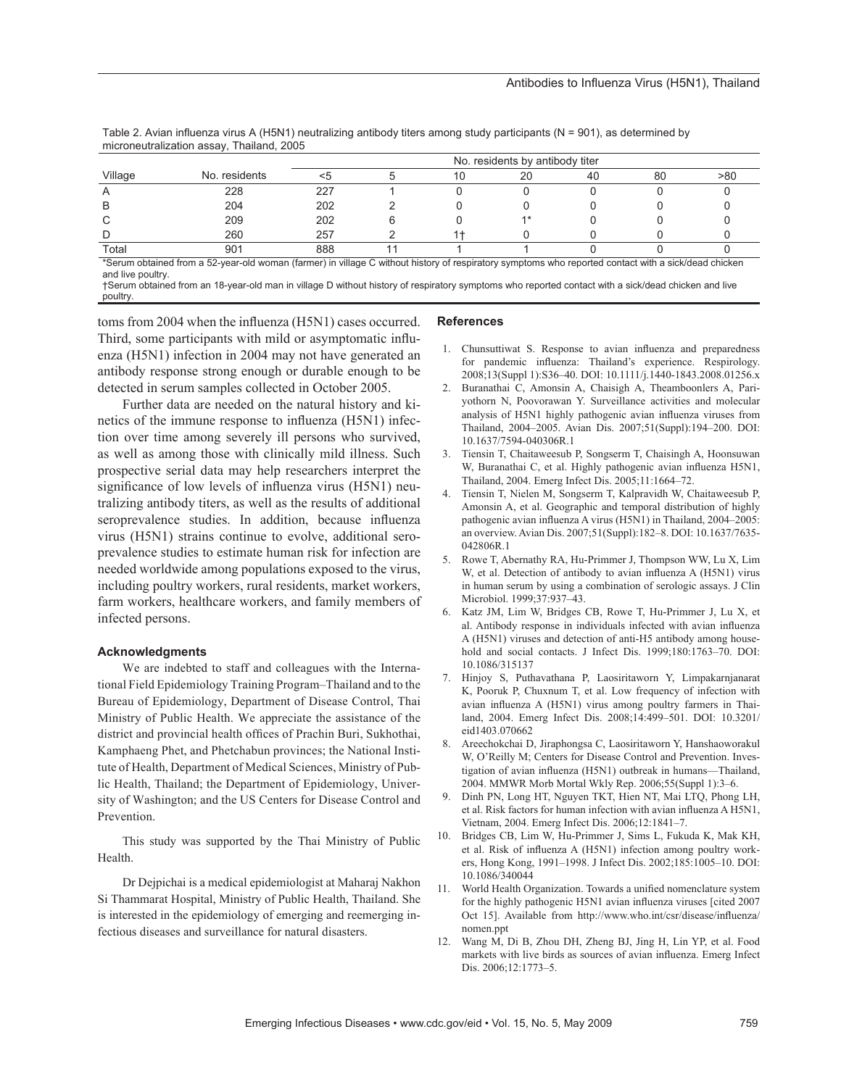|         |               | No. residents by antibody titer |  |    |      |    |    |     |
|---------|---------------|---------------------------------|--|----|------|----|----|-----|
| Village | No. residents |                                 |  | ıО | 20   | 40 | 80 | >80 |
|         | 228           | 227                             |  |    |      |    |    |     |
|         | 204           | 202                             |  |    |      |    |    |     |
|         | 209           | 202                             |  |    | $4*$ |    |    |     |
|         | 260           | 257                             |  |    |      |    |    |     |
| Total   | 901           | 888                             |  |    |      |    |    |     |

Table 2. Avian influenza virus A (H5N1) neutralizing antibody titers among study participants (N = 901), as determined by microneutralization assay, Thailand, 2005

\*Serum obtained from a 52-year-old woman (farmer) in village C without history of respiratory symptoms who reported contact with a sick/dead chicken and live poultry.

†Serum obtained from an 18-year-old man in village D without history of respiratory symptoms who reported contact with a sick/dead chicken and live poultry.

toms from 2004 when the influenza (H5N1) cases occurred. Third, some participants with mild or asymptomatic influenza (H5N1) infection in 2004 may not have generated an antibody response strong enough or durable enough to be detected in serum samples collected in October 2005.

Further data are needed on the natural history and kinetics of the immune response to influenza (H5N1) infection over time among severely ill persons who survived, as well as among those with clinically mild illness. Such prospective serial data may help researchers interpret the significance of low levels of influenza virus (H5N1) neutralizing antibody titers, as well as the results of additional seroprevalence studies. In addition, because influenza virus (H5N1) strains continue to evolve, additional seroprevalence studies to estimate human risk for infection are needed worldwide among populations exposed to the virus, including poultry workers, rural residents, market workers, farm workers, healthcare workers, and family members of infected persons.

## **Acknowledgments**

We are indebted to staff and colleagues with the International Field Epidemiology Training Program–Thailand and to the Bureau of Epidemiology, Department of Disease Control, Thai Ministry of Public Health. We appreciate the assistance of the district and provincial health offices of Prachin Buri, Sukhothai, Kamphaeng Phet, and Phetchabun provinces; the National Institute of Health, Department of Medical Sciences, Ministry of Public Health, Thailand; the Department of Epidemiology, University of Washington; and the US Centers for Disease Control and Prevention.

This study was supported by the Thai Ministry of Public Health.

Dr Dejpichai is a medical epidemiologist at Maharaj Nakhon Si Thammarat Hospital, Ministry of Public Health, Thailand. She is interested in the epidemiology of emerging and reemerging infectious diseases and surveillance for natural disasters.

## **References**

- 1. Chunsuttiwat S. Response to avian influenza and preparedness for pandemic influenza: Thailand's experience. Respirology. 2008;13(Suppl 1):S36–40. DOI: 10.1111/j.1440-1843.2008.01256.x
- 2. Buranathai C, Amonsin A, Chaisigh A, Theamboonlers A, Pariyothorn N, Poovorawan Y. Surveillance activities and molecular analysis of H5N1 highly pathogenic avian influenza viruses from Thailand, 2004–2005. Avian Dis. 2007;51(Suppl):194–200. DOI: 10.1637/7594-040306R.1
- 3. Tiensin T, Chaitaweesub P, Songserm T, Chaisingh A, Hoonsuwan W, Buranathai C, et al. Highly pathogenic avian influenza H5N1, Thailand, 2004. Emerg Infect Dis. 2005;11:1664–72.
- 4. Tiensin T, Nielen M, Songserm T, Kalpravidh W, Chaitaweesub P, Amonsin A, et al. Geographic and temporal distribution of highly pathogenic avian influenza A virus (H5N1) in Thailand, 2004–2005: an overview. Avian Dis. 2007;51(Suppl):182–8. DOI: 10.1637/7635- 042806R.1
- 5. Rowe T, Abernathy RA, Hu-Primmer J, Thompson WW, Lu X, Lim W, et al. Detection of antibody to avian influenza A (H5N1) virus in human serum by using a combination of serologic assays. J Clin Microbiol. 1999;37:937–43.
- 6. Katz JM, Lim W, Bridges CB, Rowe T, Hu-Primmer J, Lu X, et al. Antibody response in individuals infected with avian influenza A (H5N1) viruses and detection of anti-H5 antibody among household and social contacts. J Infect Dis. 1999;180:1763-70. DOI: 10.1086/315137
- 7. Hinjoy S, Puthavathana P, Laosiritaworn Y, Limpakarnjanarat K, Pooruk P, Chuxnum T, et al. Low frequency of infection with avian influenza A (H5N1) virus among poultry farmers in Thailand, 2004. Emerg Infect Dis. 2008;14:499–501. DOI: 10.3201/ eid1403.070662
- 8. Areechokchai D, Jiraphongsa C, Laosiritaworn Y, Hanshaoworakul W, O'Reilly M; Centers for Disease Control and Prevention. Investigation of avian influenza (H5N1) outbreak in humans—Thailand, 2004. MMWR Morb Mortal Wkly Rep. 2006;55(Suppl 1):3–6.
- 9. Dinh PN, Long HT, Nguyen TKT, Hien NT, Mai LTQ, Phong LH, et al. Risk factors for human infection with avian influenza A H5N1, Vietnam, 2004. Emerg Infect Dis. 2006;12:1841–7.
- 10. Bridges CB, Lim W, Hu-Primmer J, Sims L, Fukuda K, Mak KH, et al. Risk of influenza A (H5N1) infection among poultry workers, Hong Kong, 1991–1998. J Infect Dis. 2002;185:1005–10. DOI: 10.1086/340044
- 11. World Health Organization. Towards a unified nomenclature system for the highly pathogenic H5N1 avian influenza viruses [cited 2007 Oct 15]. Available from http://www.who.int/csr/disease/influenza/ nomen.ppt
- 12. Wang M, Di B, Zhou DH, Zheng BJ, Jing H, Lin YP, et al. Food markets with live birds as sources of avian influenza. Emerg Infect Dis. 2006;12:1773–5.